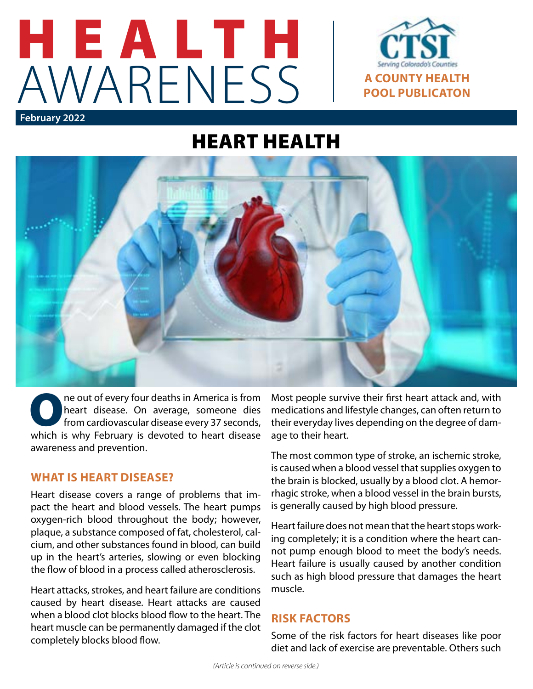



# HEART HEALTH



The out of every four deaths in America is from<br>heart disease. On average, someone dies<br>from cardiovascular disease every 37 seconds, heart disease. On average, someone dies from cardiovascular disease every 37 seconds, which is why February is devoted to heart disease awareness and prevention.

## **WHAT IS HEART DISEASE?**

Heart disease covers a range of problems that impact the heart and blood vessels. The heart pumps oxygen-rich blood throughout the body; however, plaque, a substance composed of fat, cholesterol, calcium, and other substances found in blood, can build up in the heart's arteries, slowing or even blocking the flow of blood in a process called atherosclerosis.

Heart attacks, strokes, and heart failure are conditions caused by heart disease. Heart attacks are caused when a blood clot blocks blood flow to the heart. The heart muscle can be permanently damaged if the clot completely blocks blood flow.

Most people survive their first heart attack and, with medications and lifestyle changes, can often return to their everyday lives depending on the degree of damage to their heart.

The most common type of stroke, an ischemic stroke, is caused when a blood vessel that supplies oxygen to the brain is blocked, usually by a blood clot. A hemorrhagic stroke, when a blood vessel in the brain bursts, is generally caused by high blood pressure.

Heart failure does not mean that the heart stops working completely; it is a condition where the heart cannot pump enough blood to meet the body's needs. Heart failure is usually caused by another condition such as high blood pressure that damages the heart muscle.

#### **RISK FACTORS**

Some of the risk factors for heart diseases like poor diet and lack of exercise are preventable. Others such